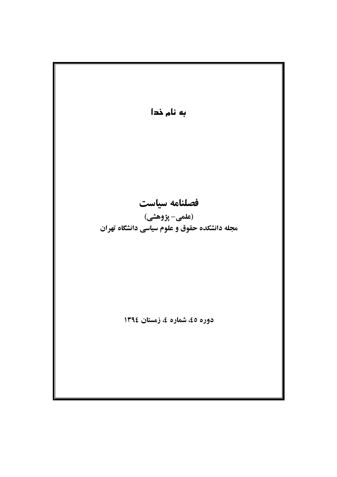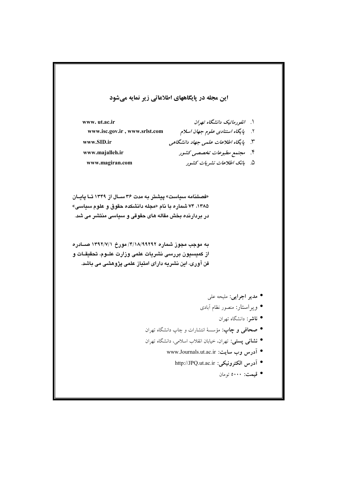## این مجله در پایگاههای اطلاعاتی زیر نمایه میشود

۱. انفورماتیک دانشگاه تهران www.ut.ac.ir ۲. پایگاه استن*ادی علوم جهان اسلام* www.isc.gov.ir, www.srlst.com ۳. پایگاه اطلاعات علمی جهاد دانشگاهی www.SID.ir ۴. مجتمع مطبوعات تخصصی کشور www.maialleh.ir ۵. بانک اطلاعات نشیریات کشور www.magiran.com

«فصلنامه سياست» پيشتر به مدت ٣۶ سـال از ١٣۴٩ تـا پايـان ۱۳۸۵، ۷۴ شماره با نام «مجله دانشکده حقوق و علوم سیاسی» در بردارنده بخش مقاله های حقوقی و سیاسی منتشر می شد.

به موجب مجوز شماره ۴/۱۸/۹۹۲۹۲/ مورخ ۱۳۹۲/۷/۱ صـادره از كميسيون بررسى نشريات علمى وزارت علــوم، تحقيقـات و فن آوری، این نشریه دارای امتیاز علمی پژوهشی می باشد.

- مدير اجرايي: مليحه على
- وير استار: منصور نظام آبادي
	- ناشر: دانشگاه تهران
- صحافى و چاپ: مؤسسهٔ انتشارات و چاپ دانشگاه تهران
- نشانی پستی: تهران، خیابان انقلاب اسلامی، دانشگاه تهران
	- آدرس وب سایت: www.Journals.ut.ac.ir
		- آدرس الكترونيكي: http://JPQ.ut.ac.ir
			- قىمت: ٥٠٠٠ تومان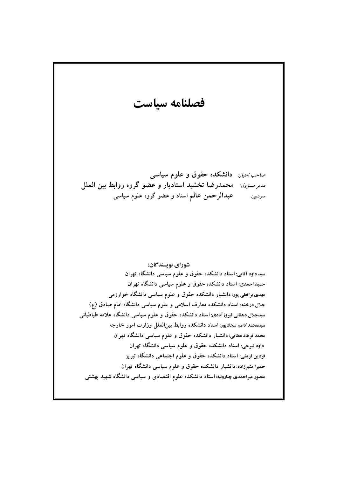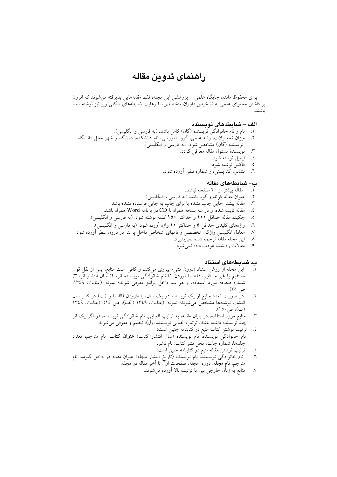# راهنماي تدوين مقاله

برای محفوظ ماندن جایگاه علمی – پژوهشی این مجله، فقط مقالههایی پذیرفته می شوند که افزون بر داشتن محتوای علمی به تشخیص داوران متخصص، با رعایت ضابطههای شکلی زیر نیز نوشته شده ىاشند.

#### الف –ضابطههای نویسنده

- $\cdot$
- نام و نام خانوادگی نویسنده (گان) کامل باشد. (به فارسی و انگلیسی).<br>میزان تحصیلات، رتبه علمی، گروه آموزشی، نام دانشکده، دانشگاه و شهر محل دانشگاه  $\cdot$ نویسنده (گان) مشخص شود. (به فارسی و انگلیسی).
	- نويسندهٔ مسئول مقاله معرفی گردد.  $\mathfrak{r}$ 
		- ايميل نوشته شود.  $\cdot$
		- فاكس نوشته شود.  $\cdot$ .0
	- نشانی، کد پستی، و شماره تلفن آورده شود.  $\mathcal{L}$

#### ب– ضابطەھاي مقالە

- مقاله بیشتر از ۲۰ صفحه نباشد.  $\Lambda$
- عنوان مقاله کوتاه و گویا باشد (به فارسی و انگلیسی).  $\cdot$
- مقاله پیشتر جایی چاپ نشده یا برای چاپ به جایی فرستاده نشده باشد.  $\mathfrak{r}$
- مقاله تایپ شده، و در سه نسخه همراه با CD در برنامه Word همراه باشد. ٤.
- چکیده مقاله حداقل ۱۰۰ و حداکثر ۱۵۰ کلمه نوشته شود. (به فارسی و انگلیسی).  $\boldsymbol{\delta}$
- واژههای کلیدی حداقل ٥ و حداکثر ١٠ واژه أورده شود. (به فارسی و انگلیسی).  $\mathcal{L}$
- معادل انگلیسی واژگان تخصصی و نامهای اشخاص داخل پرانتز در درون سطر آورده شود.  $\mathcal{N}$ 
	- اين مجله مقاله ترجمه شده نميپذيرد.  $\lambda$ 
		- مقالات رد شده عودت داده نمی شود.  $\mathcal{A}$

### پ. ضابطههای استناد

- این مجله از روش استناد «درونِ متنی» پیروی میکند، و کافی است منابع، پس از نقل قول مستُقيم يا غير مستَّقيم، فقط با أوردنَّ ١) نام خانوَّادگي نويسنَّده اثر، ٢) سالَ انتشار اثَّر، ٣) شماره صفحه مورد استفاده، و هر سه داخل پرانتز معرفی شوند؛ نمونه: (عنایت، ۱۳٤۹، ص ٢٥).
- در صورت تعدد منابع از یک نویسنده در یک سال، با افزودن (الف) و (ب) در کنار سال  $\cdot$  ,<br>Y انتشار، نوشتهها مشخصٌّ میشوند؛ نمونه: (عنایت، ۱۳٤۹ (الف)، ص ١٤)، (عنایت، ۱۳٤۹ (ب)، ص ١٥٠).
- منابع مورد استفاده، در پایان مقاله، به ترتیب الفبایی، نام خانوادگی نویسنده، (و اگر یک اثر  $\cdot$ چند نویسنده داشته باشد، ترتیب الفبایی نویسنده اول)، تنظیم و معرفی میشوند.
- ترتیب نوشتن کتاب منبع در کتابنامه چنین است:  $\cdot$ نام خانوادگی نویسنده، نام نویسنده (سال انتشار کتاب) **عنوان کتاب**، نام مترجم، تعداد جُلدها، شماره چاپ، محل نشر کتاب: نام ناشر.
	- ترتیب نوشتن مقاله منبع در کتابنامه چنین است.  $\cdot$
- نام خانوادگی نویسندّه، نام نویسنده (تاریخ انتشار مجله) عنوان مقاله در داخل گیومه، نام  $\cdot$ مترجم، **نام مجَّل**ه، دوره مجله، صفحات اول تا اَخر مقاله در مجله.
	- منابع به زبان خارجی نیز، با ترتیب بالا آورده میشوند.  $\cdot^{\vee}$